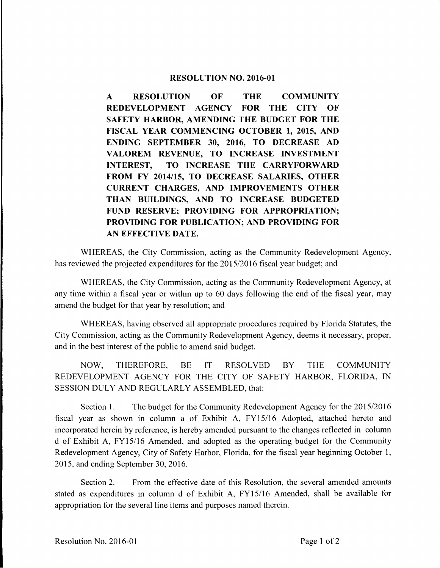## **RESOLUTION NO. 2016-01**

**A RESOLUTION OF THE COMMUNITY REDEVELOPMENT AGENCY FOR THE CITY OF SAFETY HARBOR, AMENDING THE BUDGET FOR THE FISCAL YEAR COMMENCING OCTOBER 1, 2015, AND ENDING SEPTEMBER 30, 2016, TO DECREASE AD**  VALOREM REVENUE, TO INCREASE INVESTMENT **INTEREST, TO INCREASE THE CARRYFORWARD FROM FY 2014/15, TO DECREASE SALARIES, OTHER CURRENT CHARGES, AND IMPROVEMENTS OTHER THAN BUILDINGS, AND TO INCREASE BUDGETED FUND RESERVE; PROVIDING FOR APPROPRIATION; PROVIDING FOR PUBLICATION; AND PROVIDING FOR AN EFFECTIVE DATE.** 

WHEREAS, the City Commission, acting as the Community Redevelopment Agency, has reviewed the projected expenditures for the 2015/2016 fiscal year budget; and

WHEREAS, the City Commission, acting as the Community Redevelopment Agency, at any time within a fiscal year or within up to 60 days following the end of the fiscal year, may amend the budget for that year by resolution; and

WHEREAS, having observed all appropriate procedures required by Florida Statutes, the City Commission, acting as the Community Redevelopment Agency, deems it necessary, proper, and in the best interest of the public to amend said budget.

NOW, THEREFORE, BE IT RESOLVED BY THE COMMUNITY REDEVELOPMENT AGENCY FOR THE CITY OF SAFETY HARBOR, FLORIDA, IN SESSION DULY AND REGULARLY ASSEMBLED, that:

Section 1. The budget for the Community Redevelopment Agency for the 2015/2016 fiscal year as shown in column a of Exhibit A, FYI 5/16 Adopted, attached hereto and incorporated herein by reference, is hereby amended pursuant to the changes reflected in column d of Exhibit A, FY15/16 Amended, and adopted as the operating budget for the Community Redevelopment Agency, City of Safety Harbor, Florida, for the fiscal year beginning October 1, 2015, and ending September 30, 2016.

Section 2. From the effective date of this Resolution, the several amended amounts stated as expenditures in column d of Exhibit A, FY15/16 Amended, shall be available for appropriation for the several line items and purposes named therein.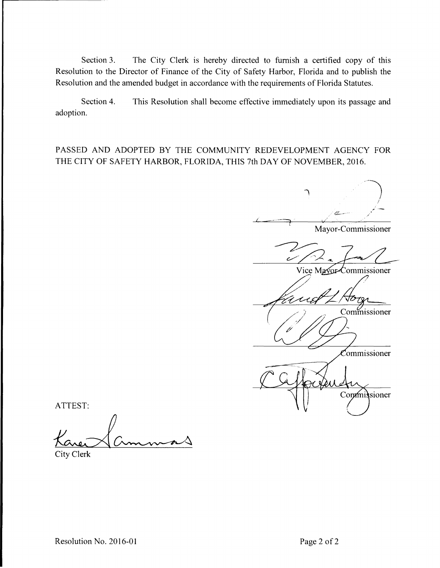Section 3. The City Clerk is hereby directed to furnish a certified copy of this Resolution to the Director of Finance of the City of Safety Harbor, Florida and to publish the Resolution and the amended budget in accordance with the requirements of Florida Statutes.

Section 4. This Resolution shall become effective immediately upon its passage and adoption.

PASSED AND ADOPTED BY THE COMMUNITY REDEVELOPMENT AGENCY FOR THE CITY OF SAFETY HARBOR, FLORIDA, THIS 7th DAY OF NOVEMBER, 2016.

,- Mayor-Commissioner c Vice Mayor-Commissioner JO Commissioner Commissioner Commissioner

ATTEST:

City Clerk